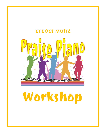## ETUDES MUSIC



# Workshop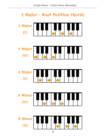## **C Major - Root Position Chords**

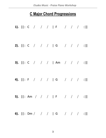## **C Major Chord Progressions**

|  |  |  | 1). $  : C / / /  F / /  $      |  |  |
|--|--|--|---------------------------------|--|--|
|  |  |  | 2). $  : C / / /   G / / /  $   |  |  |
|  |  |  | 3). $  : C / / /  Am / /  $     |  |  |
|  |  |  | 4).   : F / / /   G / / / :     |  |  |
|  |  |  | 5). $  : Am / / /  F / /   /  $ |  |  |
|  |  |  | 6).   : Dm / / /   G / / / :    |  |  |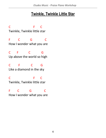## **Twinkle, Twinkle Little Star**

C F C Twinkle, Twinkle little star F C G C How I wonder what you are C F C G Up above the world so high C F C G Like a diamond in the sky C F C Twinkle, Twinkle little star F C G C How I wonder what you are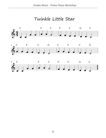Twinkle Little Star





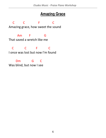### **Amazing Grace**

 C C F C Amazing grace, how sweet the sound Am F G That saved a wretch like me C C F C I once was lost but now I'm found Dm G C Was blind, but now I see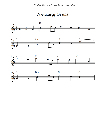Amazing Grace







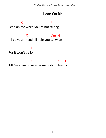#### **Lean On Me**

**C** F Lean on me when you're not strong C Am G I'll be your friend I'll help you carry on C<sub>F</sub> For it won't be long **C** G C Till I'm going to need somebody to lean on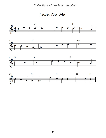Lean On Me







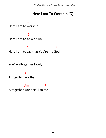## **Here I am To Worship (C)**

**C** C

Here I am to worship

**Grade Contract Grade Contract Grade** 

Here I am to bow down

 Am F Here I am to say that You're my God

 C You're altogether lovely

**Green Contracts** Altogether worthy

 Am F Altogether wonderful to me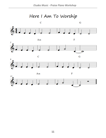Here I Am To Worship

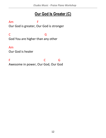## **Our God Is Greater (C)**

Am F Our God is greater, Our God is stronger

C G God You are higher than any other

Am

Our God is healer

F G G G Awesome in power, Our God, Our God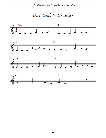Our God Is Greater







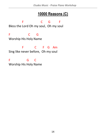## **10000 Reasons (C)**

 F C G F Bless the Lord Oh my soul, Oh my soul

F C G Worship His Holy Name

 F C F G Am Sing like never before, Oh my soul

F G C Worship His Holy Name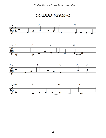10,000 Reasons







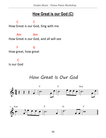## **How Great is our God (C)**

 C C How Great is our God, Sing with me

 Am Am How Great is our God, and all will see

**F** G How great, how great

**C** Is our God

How Great Is Our God